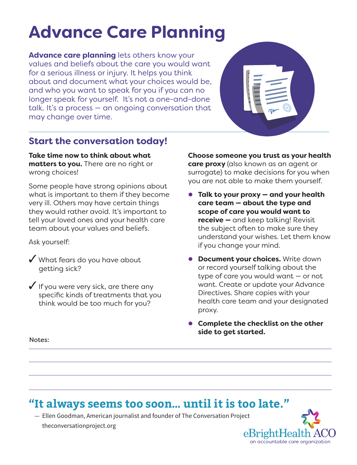# **Advance Care Planning**

**Advance care planning** lets others know your values and beliefs about the care you would want for a serious illness or injury. It helps you think about and document what your choices would be, and who you want to speak for you if you can no longer speak for yourself. It's not a one-and-done talk. It's a process — an ongoing conversation that may change over time.



### **Start the conversation today!**

**Take time now to think about what matters to you.** There are no right or wrong choices!

Some people have strong opinions about what is important to them if they become very ill. Others may have certain things they would rather avoid. It's important to tell your loved ones and your health care team about your values and beliefs.

Ask yourself:

- ✓ What fears do you have about getting sick?
- $\checkmark$  If you were very sick, are there any specific kinds of treatments that you think would be too much for you?

**Choose someone you trust as your health care proxy** (also known as an agent or surrogate) to make decisions for you when you are not able to make them yourself.

- **Talk to your proxy and your health care team — about the type and scope of care you would want to receive —** and keep talking! Revisit the subject often to make sure they understand your wishes. Let them know if you change your mind.
- **Document your choices.** Write down or record yourself talking about the type of care you would want — or not want. Create or update your Advance Directives. Share copies with your health care team and your designated proxy.
- **Complete the checklist on the other side to get started.**

Notes:

## **"It always seems too soon… until it is too late."**

— Ellen Goodman, American journalist and founder of The Conversation Project theconversationproject.org